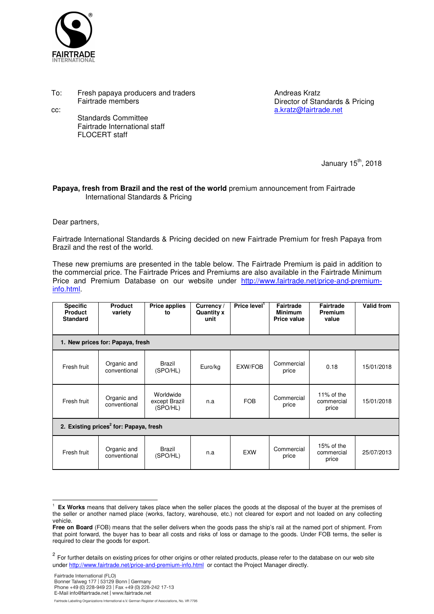

To: Fresh papaya producers and traders Fairtrade members

cc:

 Standards Committee Fairtrade International staff FLOCERT staff

Andreas Kratz Director of Standards & Pricing a.kratz@fairtrade.net

January  $15<sup>th</sup>$ , 2018

## **Papaya, fresh from Brazil and the rest of the world** premium announcement from Fairtrade International Standards & Pricing

Dear partners,

 $\overline{a}$ 

Fairtrade International Standards & Pricing decided on new Fairtrade Premium for fresh Papaya from Brazil and the rest of the world.

These new premiums are presented in the table below. The Fairtrade Premium is paid in addition to the commercial price. The Fairtrade Prices and Premiums are also available in the Fairtrade Minimum Price and Premium Database on our website under http://www.fairtrade.net/price-and-premiuminfo.html.

| <b>Specific</b><br><b>Product</b><br><b>Standard</b> | <b>Product</b><br>variety   | <b>Price applies</b><br>to             | Currency /<br><b>Quantity x</b><br>unit | Price level $1$ | <b>Fairtrade</b><br><b>Minimum</b><br><b>Price value</b> | <b>Fairtrade</b><br><b>Premium</b><br>value | <b>Valid from</b> |  |  |  |  |  |
|------------------------------------------------------|-----------------------------|----------------------------------------|-----------------------------------------|-----------------|----------------------------------------------------------|---------------------------------------------|-------------------|--|--|--|--|--|
| 1. New prices for: Papaya, fresh                     |                             |                                        |                                         |                 |                                                          |                                             |                   |  |  |  |  |  |
| Fresh fruit                                          | Organic and<br>conventional | <b>Brazil</b><br>(SPO/HL)              | Euro/kg                                 | EXW/FOB         | Commercial<br>price                                      | 0.18                                        | 15/01/2018        |  |  |  |  |  |
| Fresh fruit                                          | Organic and<br>conventional | Worldwide<br>except Brazil<br>(SPO/HL) | n.a                                     | <b>FOB</b>      | Commercial<br>price                                      | 11% of the<br>commercial<br>price           | 15/01/2018        |  |  |  |  |  |
| 2. Existing prices <sup>2</sup> for: Papaya, fresh   |                             |                                        |                                         |                 |                                                          |                                             |                   |  |  |  |  |  |
| Fresh fruit                                          | Organic and<br>conventional | <b>Brazil</b><br>(SPO/HL)              | n.a                                     | <b>EXW</b>      | Commercial<br>price                                      | 15% of the<br>commercial<br>price           | 25/07/2013        |  |  |  |  |  |

Fairtrade Labelling Organizations International e.V. German Register of Associations, No. VR 7795

<sup>1</sup> **Ex Works** means that delivery takes place when the seller places the goods at the disposal of the buyer at the premises of the seller or another named place (works, factory, warehouse, etc.) not cleared for export and not loaded on any collecting vehicle.

**Free on Board** (FOB) means that the seller delivers when the goods pass the ship's rail at the named port of shipment. From that point forward, the buyer has to bear all costs and risks of loss or damage to the goods. Under FOB terms, the seller is required to clear the goods for export.

<sup>&</sup>lt;sup>2</sup> For further details on existing prices for other origins or other related products, please refer to the database on our web site under http://www.fairtrade.net/price-and-premium-info.html or contact the Project Manager directly.